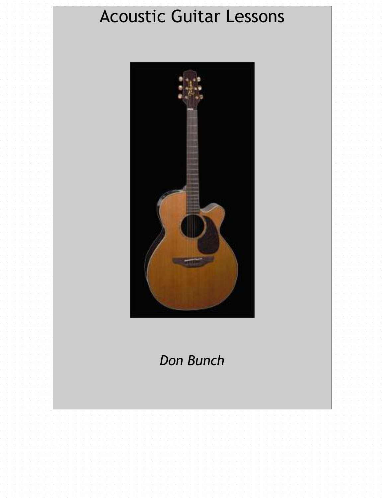# Acoustic Guitar Lessons



<span id="page-0-0"></span>*Don Bunch*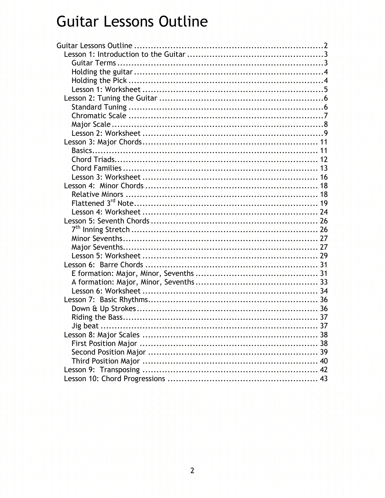## **Guitar Lessons Outline**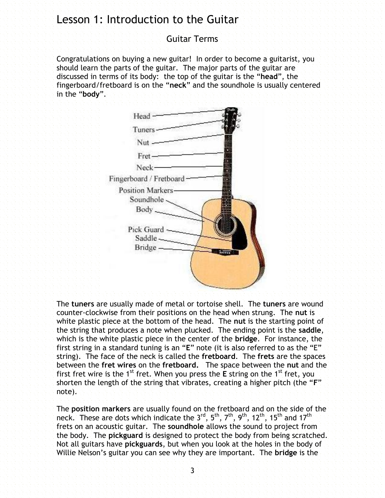## <span id="page-2-1"></span><span id="page-2-0"></span>Lesson 1: Introduction to the Guitar

#### Guitar Terms

Congratulations on buying a new guitar! In order to become a guitarist, you should learn the parts of the guitar. The major parts of the guitar are discussed in terms of its body: the top of the guitar is the "**head**", the fingerboard/fretboard is on the "**neck**" and the soundhole is usually centered in the "**body**".



The **tuners** are usually made of metal or tortoise shell. The **tuners** are wound counter-clockwise from their positions on the head when strung. The **nut** is white plastic piece at the bottom of the head. The **nut** is the starting point of the string that produces a note when plucked. The ending point is the **saddle**, which is the white plastic piece in the center of the **bridge**. For instance, the first string in a standard tuning is an "**E**" note (it is also referred to as the "E" string). The face of the neck is called the **fretboard**. The **frets** are the spaces between the **fret wires** on the **fretboard.** The space between the **nut** and the first fret wire is the 1<sup>st</sup> fret. When you press the  $\overline{E}$  string on the 1<sup>st</sup> fret, you shorten the length of the string that vibrates, creating a higher pitch (the "**F**" note).

The **position markers** are usually found on the fretboard and on the side of the neck. These are dots which indicate the  $3^{rd}$ ,  $5^{th}$ ,  $7^{th}$ ,  $9^{th}$ ,  $12^{th}$ ,  $15^{th}$  and  $17^{th}$ frets on an acoustic guitar. The **soundhole** allows the sound to project from the body. The **pickguard** is designed to protect the body from being scratched. Not all guitars have **pickguards**, but when you look at the holes in the body of Willie Nelson's guitar you can see why they are important. The **bridge** is the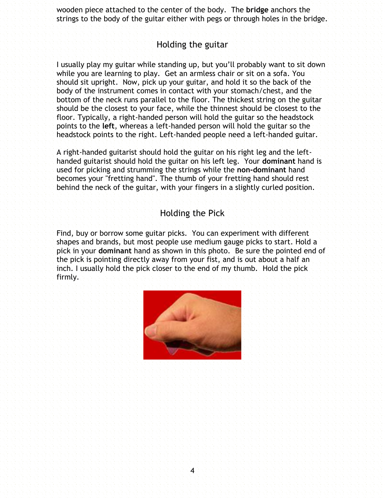<span id="page-3-0"></span>wooden piece attached to the center of the body. The **bridge** anchors the strings to the body of the guitar either with pegs or through holes in the bridge.

#### Holding the guitar

I usually play my guitar while standing up, but you'll probably want to sit down while you are learning to play. Get an armless chair or sit on a sofa. You should sit upright. Now, pick up your guitar, and hold it so the back of the body of the instrument comes in contact with your stomach/chest, and the bottom of the neck runs parallel to the floor. The thickest string on the guitar should be the closest to your face, while the thinnest should be closest to the floor. Typically, a right-handed person will hold the guitar so the headstock points to the **left**, whereas a left-handed person will hold the guitar so the headstock points to the right. Left-handed people need a left-handed guitar.

A right-handed guitarist should hold the guitar on his right leg and the lefthanded guitarist should hold the guitar on his left leg. Your **dominant** hand is used for picking and strumming the strings while the **non-dominant** hand becomes your "fretting hand". The thumb of your fretting hand should rest behind the neck of the guitar, with your fingers in a slightly curled position.

#### Holding the Pick

<span id="page-3-1"></span>Find, buy or borrow some guitar picks. You can experiment with different shapes and brands, but most people use medium gauge picks to start. Hold a pick in your **dominant** hand as shown in this photo. Be sure the pointed end of the pick is pointing directly away from your fist, and is out about a half an inch. I usually hold the pick closer to the end of my thumb. Hold the pick firmly.

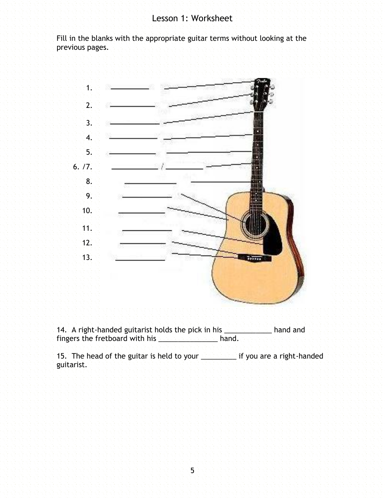<span id="page-4-0"></span>Fill in the blanks with the appropriate guitar terms without looking at the previous pages.



14. A right-handed guitarist holds the pick in his **we can be a** hand and fingers the fretboard with his \_\_\_\_\_\_\_\_\_\_\_\_\_\_\_\_\_\_\_\_ hand.

15. The head of the guitar is held to your \_\_\_\_\_\_\_\_\_ if you are a right-handed guitarist.

5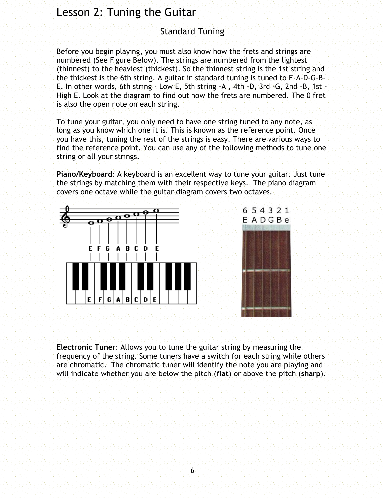## <span id="page-5-1"></span><span id="page-5-0"></span>Lesson 2: Tuning the Guitar

#### Standard Tuning

Before you begin playing, you must also know how the frets and strings are numbered (See Figure Below). The strings are numbered from the lightest (thinnest) to the heaviest (thickest). So the thinnest string is the 1st string and the thickest is the 6th string. A guitar in standard tuning is tuned to E-A-D-G-B-E. In other words, 6th string - Low E, 5th string -A , 4th -D, 3rd -G, 2nd -B, 1st - High E. Look at the diagram to find out how the frets are numbered. The 0 fret is also the open note on each string.

To tune your guitar, you only need to have one string tuned to any note, as long as you know which one it is. This is known as the reference point. Once you have this, tuning the rest of the strings is easy. There are various ways to find the reference point. You can use any of the following methods to tune one string or all your strings.

**Piano/Keyboard**: A keyboard is an excellent way to tune your guitar. Just tune the strings by matching them with their respective keys. The piano diagram covers one octave while the guitar diagram covers two octaves.





**Electronic Tuner**: Allows you to tune the guitar string by measuring the frequency of the string. Some tuners have a switch for each string while others are chromatic. The chromatic tuner will identify the note you are playing and will indicate whether you are below the pitch (**flat**) or above the pitch (**sharp**).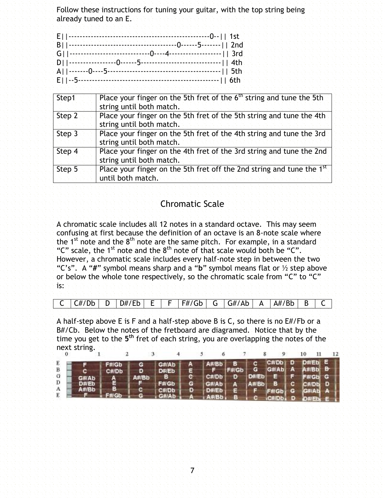Follow these instructions for tuning your guitar, with the top string being already tuned to an E.

| $E  $ ----- |            |
|-------------|------------|
| $B$   ----  |            |
| $G$   ----  |            |
|             |            |
|             | ----   5th |
|             |            |

| Step1  | Place your finger on the 5th fret of the $6th$ string and tune the 5th<br>string until both match.     |
|--------|--------------------------------------------------------------------------------------------------------|
| Step 2 | Place your finger on the 5th fret of the 5th string and tune the 4th<br>string until both match.       |
| Step 3 | Place your finger on the 5th fret of the 4th string and tune the 3rd<br>string until both match.       |
| Step 4 | Place your finger on the 4th fret of the 3rd string and tune the 2nd<br>string until both match.       |
| Step 5 | Place your finger on the 5th fret off the 2nd string and tune the 1 <sup>st</sup><br>until both match. |

#### Chromatic Scale

<span id="page-6-0"></span>A chromatic scale includes all 12 notes in a standard octave. This may seem confusing at first because the definition of an octave is an 8-note scale where the 1<sup>st</sup> note and the  $8^{th}$  note are the same pitch. For example, in a standard "C" scale, the 1<sup>st</sup> note and the  $8<sup>th</sup>$  note of that scale would both be "C". However, a chromatic scale includes every half-note step in between the two "C's". A "**#**" symbol means sharp and a "**b**" symbol means flat or ½ step above or below the whole tone respectively, so the chromatic scale from "C" to "C" is:

|--|

A half-step above E is F and a half-step above B is C, so there is no E#/Fb or a B#/Cb. Below the notes of the fretboard are diagramed. Notice that by the time you get to the 5<sup>th</sup> fret of each string, you are overlapping the notes of the next string.

| в<br>G<br>D | <b>G#Ab</b><br>D#Eb<br>A#/Bb | F#/Gb<br>C#/Db<br>돈<br>в<br>#Ch | D<br>A#/Bb<br>A | G#/Ab<br>D#/Eb<br>в<br>F#Gb<br><b>C#/Db</b><br><b>C#Ah</b> | e | C#/Db<br>G#/Ab<br>D#/Eb<br><b>A SIRh</b> | D<br>B | G<br><b>D#/Eb</b><br>(#/Bb | G#Ab.<br>в | D<br>А<br>с<br>G | D#Eb.<br>A#/Bb B<br><b>F#Gb</b><br>C#/Db<br><b>G#/Ah</b> | G<br>D |
|-------------|------------------------------|---------------------------------|-----------------|------------------------------------------------------------|---|------------------------------------------|--------|----------------------------|------------|------------------|----------------------------------------------------------|--------|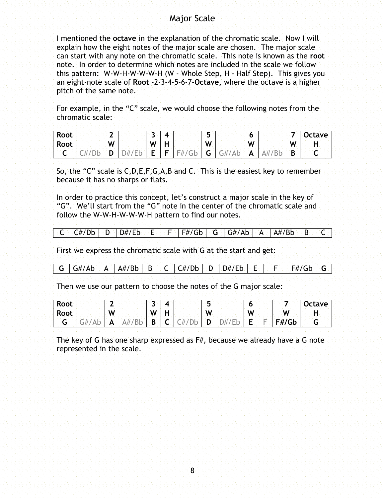#### Major Scale

<span id="page-7-0"></span>I mentioned the **octave** in the explanation of the chromatic scale. Now I will explain how the eight notes of the major scale are chosen. The major scale can start with any note on the chromatic scale. This note is known as the **root** note. In order to determine which notes are included in the scale we follow this pattern: W-W-H-W-W-W-H (W - Whole Step, H - Half Step). This gives you an eight-note scale of **Root** -2-3-4-5-6-7-**Octave,** where the octave is a higher pitch of the same note.

For example, in the "C" scale, we would choose the following notes from the chromatic scale:

| Root        |          |        | ٠ | . . |     |   |   |   |    |   | ave- |
|-------------|----------|--------|---|-----|-----|---|---|---|----|---|------|
| <b>Root</b> | <b>W</b> |        | W | T T |     | W |   | W |    | W |      |
|             |          | 日<br># | - |     | C # | ∽ | - |   | D. | D |      |

So, the "C" scale is C,D,E,F,G,A,B and C. This is the easiest key to remember because it has no sharps or flats.

In order to practice this concept, let's construct a major scale in the key of "G". We'll start from the "G" note in the center of the chromatic scale and follow the W-W-H-W-W-W-H pattern to find our notes.

| $\sim$ |  |  |  |  |  |  |  |  | the contract of the contract of the contract of the contract of the contract of the contract of the contract of |  |  |  |
|--------|--|--|--|--|--|--|--|--|-----------------------------------------------------------------------------------------------------------------|--|--|--|
|--------|--|--|--|--|--|--|--|--|-----------------------------------------------------------------------------------------------------------------|--|--|--|

First we express the chromatic scale with G at the start and get:

|  |  |  |  |  |  |  |  |  |  |  | G   G#/Ab   A   A#/Bb   B   C   C#/Db   D   D#/Eb   E   F   F#/Gb   G |  |
|--|--|--|--|--|--|--|--|--|--|--|-----------------------------------------------------------------------|--|
|--|--|--|--|--|--|--|--|--|--|--|-----------------------------------------------------------------------|--|

Then we use our pattern to choose the notes of the G major scale:

| <b>Root</b> |                 |   |                  |   |                          |                          | ی |                |   |       | -tave |
|-------------|-----------------|---|------------------|---|--------------------------|--------------------------|---|----------------|---|-------|-------|
| <b>Root</b> |                 | W |                  | W | $\sim$                   |                          | W |                | W | W     |       |
|             | <b>Contract</b> |   | 'R<br>八 廿 八<br>ັ | B | $\overline{\phantom{a}}$ | <b>Db</b><br>-#1<br>77 ب | D | Έ<br>D#/<br>-- |   | F#/Gb |       |

The key of G has one sharp expressed as F#, because we already have a G note represented in the scale.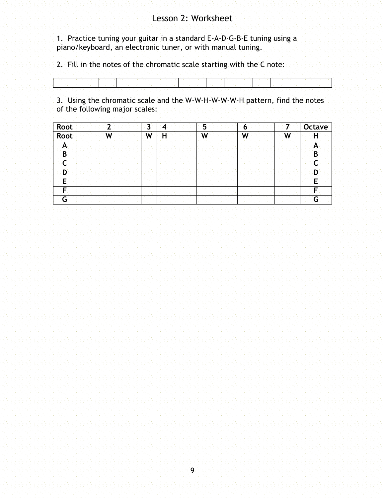#### Lesson 2: Worksheet

<span id="page-8-0"></span>1. Practice tuning your guitar in a standard E-A-D-G-B-E tuning using a piano/keyboard, an electronic tuner, or with manual tuning.

2. Fill in the notes of the chromatic scale starting with the C note:

|                                                                                                                 | e interesse e industrial de la contra contra de la contrata de la contra de la contra del accepto de la contra |                                                            |  |  |  |
|-----------------------------------------------------------------------------------------------------------------|----------------------------------------------------------------------------------------------------------------|------------------------------------------------------------|--|--|--|
|                                                                                                                 |                                                                                                                |                                                            |  |  |  |
|                                                                                                                 |                                                                                                                | a main sa Bal Bal Tanka ku kuna sa sa Tanaya ay ang ang pa |  |  |  |
|                                                                                                                 | 아이는 아이들이 아이들이 어떻게 하지 않았다.                                                                                      |                                                            |  |  |  |
|                                                                                                                 |                                                                                                                |                                                            |  |  |  |
| A REAL REPORT OF A REAL PROPERTY OF A REAL PROPERTY OF A REAL PROPERTY OF A REAL PROPERTY OF A REAL PROPERTY OF |                                                                                                                |                                                            |  |  |  |
|                                                                                                                 |                                                                                                                |                                                            |  |  |  |
| としておして おもない とうしょう しょうしょう しょうしょう しょうしょう しょうしょう こうしょう こうしょう こうしょう こうしょう こうしょう しょうこう こうしょう しょうしょう しょうしょう しょうこう     |                                                                                                                |                                                            |  |  |  |
|                                                                                                                 |                                                                                                                |                                                            |  |  |  |

3. Using the chromatic scale and the W-W-H-W-W-W-H pattern, find the notes of the following major scales:

| Root |                |   |   |   | ान् | O |  | Octave |
|------|----------------|---|---|---|-----|---|--|--------|
| Root |                | W | W | Н | W   | W |  |        |
|      |                |   |   |   |     |   |  |        |
| B    | <b>William</b> |   |   |   |     |   |  |        |
|      |                |   |   |   |     |   |  |        |
| Ð    |                |   |   |   |     |   |  |        |
| Œ.   |                |   |   |   |     |   |  |        |
|      |                |   |   |   |     |   |  |        |
|      |                |   |   |   |     |   |  |        |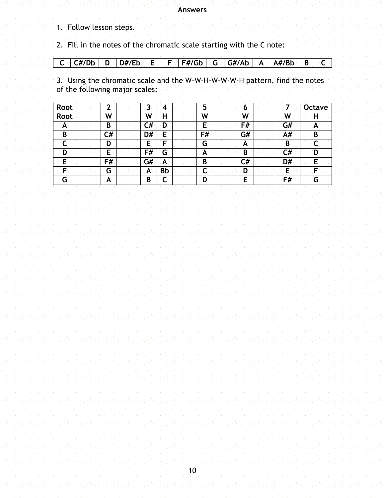#### **Answers**

1. Follow lesson steps.

2. Fill in the notes of the chromatic scale starting with the C note:

3. Using the chromatic scale and the W-W-H-W-W-W-H pattern, find the notes of the following major scales:

| Root | $\overline{2}$ | 3  | 4    | 5  | $\boldsymbol{\mathsf{b}}$ |    | Octave |
|------|----------------|----|------|----|---------------------------|----|--------|
| Root | W              | W  | Н    | W  | W                         | W  | Н      |
| А    | B              | C# | D    | E  | F#                        | G# | A      |
| B    | C#             | D# | E    | F# | G#                        | A# | B      |
|      | D              | Е  | F    | G  | A                         | В  |        |
| Đ    | Ė              | F# | Ġ    | Α  | B                         | C# | D      |
| E    | F#             | G# | А    | B  | C#                        | D# | Е      |
| Е    | G              | Α  | Bb   |    | D                         |    |        |
| G    | A              | B  | 2000 | D  | E,                        | F# | U.     |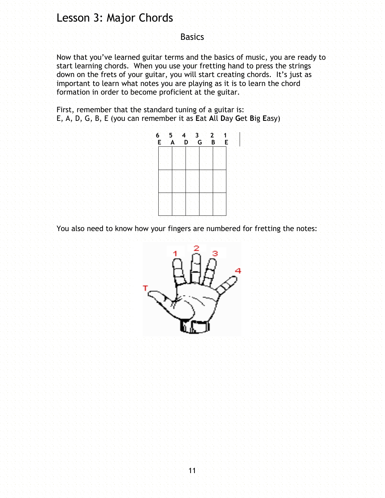## <span id="page-10-1"></span><span id="page-10-0"></span>Lesson 3: Major Chords

#### **Basics**

Now that you've learned guitar terms and the basics of music, you are ready to start learning chords. When you use your fretting hand to press the strings down on the frets of your guitar, you will start creating chords. It's just as important to learn what notes you are playing as it is to learn the chord formation in order to become proficient at the guitar.

First, remember that the standard tuning of a guitar is: E, A, D, G, B, E (you can remember it as **E**at **A**ll **D**ay **G**et **B**ig **E**asy)



You also need to know how your fingers are numbered for fretting the notes:

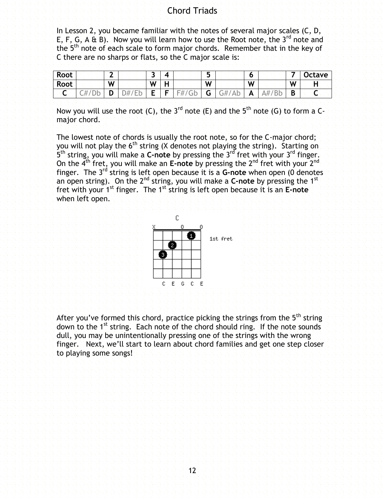#### Chord Triads

<span id="page-11-0"></span>In Lesson 2, you became familiar with the notes of several major scales (C, D, E, F, G, A & B). Now you will learn how to use the Root note, the 3<sup>rd</sup> note and the 5<sup>th</sup> note of each scale to form major chords. Remember that in the key of C there are no sharps or flats, so the C major scale is:

| Root        |   |                    | ∽ |                   |     |   |   |   |        | ave: |
|-------------|---|--------------------|---|-------------------|-----|---|---|---|--------|------|
| <b>Root</b> | W |                    | W | пū<br>.           |     | W |   | W | W      |      |
|             |   | <b>TEL</b><br>$^+$ | ÷ | <b>The Second</b> | C#. | ∽ | ட |   | D<br>D |      |

Now you will use the root (C), the  $3^{rd}$  note (E) and the  $5^{th}$  note (G) to form a Cmajor chord.

The lowest note of chords is usually the root note, so for the C-major chord; you will not play the  $6<sup>th</sup>$  string (X denotes not playing the string). Starting on 5<sup>th</sup> string, you will make a **C-note** by pressing the 3<sup>rd</sup> fret with your 3<sup>rd</sup> finger. On the 4<sup>th</sup> fret, you will make an E-note by pressing the 2<sup>nd</sup> fret with your 2<sup>nd</sup> finger. The 3<sup>rd</sup> string is left open because it is a G-note when open (0 denotes an open string). On the 2<sup>nd</sup> string, you will make a **C-note** by pressing the 1<sup>st</sup> fret with your 1<sup>st</sup> finger. The 1<sup>st</sup> string is left open because it is an **E-note** when left open.



After you've formed this chord, practice picking the strings from the  $5<sup>th</sup>$  string down to the 1<sup>st</sup> string. Each note of the chord should ring. If the note sounds dull, you may be unintentionally pressing one of the strings with the wrong finger. Next, we'll start to learn about chord families and get one step closer to playing some songs!

12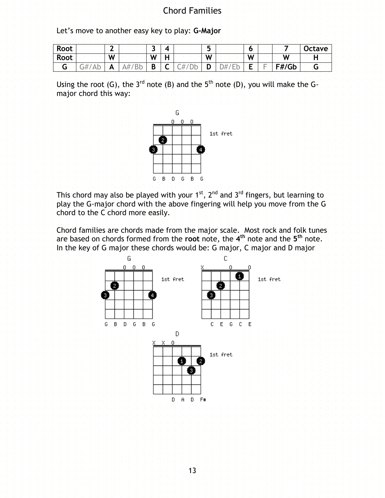#### Chord Families

<span id="page-12-0"></span>

| Let's move to another easy key to play: G-Major |  |  |  |
|-------------------------------------------------|--|--|--|
|                                                 |  |  |  |

| <b>Root</b> |           |   |       |   |                 |                                                                                                          |   |         |       |  |
|-------------|-----------|---|-------|---|-----------------|----------------------------------------------------------------------------------------------------------|---|---------|-------|--|
| Root        |           | W |       | W | Service Ballion |                                                                                                          | W | w       | W     |  |
|             | G#7<br>Ab |   | A#/Bb |   |                 | $\mathbf{B}$ $\mathbf{C}$ $\mathbf{C}$ $\#$ / $\mathbf{D}$ $\mathbf{D}$ $\#$ / $\mathbf{E}$ $\mathbf{D}$ |   | 88 E SH | F#/Gb |  |

Using the root (G), the  $3^{rd}$  note (B) and the  $5^{th}$  note (D), you will make the Gmajor chord this way:



This chord may also be played with your  $1^{st}$ ,  $2^{nd}$  and  $3^{rd}$  fingers, but learning to play the G-major chord with the above fingering will help you move from the G chord to the C chord more easily.

Chord families are chords made from the major scale. Most rock and folk tunes are based on chords formed from the **root** note, the **4 th** note and the **5 th** note. In the key of G major these chords would be: G major, C major and D major

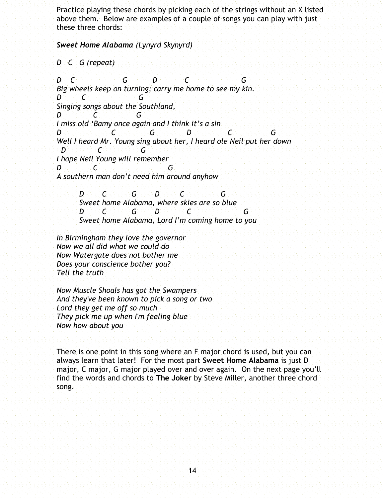Practice playing these chords by picking each of the strings without an X listed above them. Below are examples of a couple of songs you can play with just these three chords:

#### *Sweet Home Alabama (Lynyrd Skynyrd)*

*D C G (repeat)*

*D C G D C G Big wheels keep on turning; carry me home to see my kin. D C G Singing songs about the Southland, D C G I miss old 'Bamy once again and I think it's a sin D C G D C G Well I heard Mr. Young sing about her, I heard ole Neil put her down D C G I hope Neil Young will remember D C G A southern man don't need him around anyhow*

*D C G D C G Sweet home Alabama, where skies are so blue D C G D C G Sweet home Alabama, Lord I'm coming home to you*

*In Birmingham they love the governor Now we all did what we could do Now Watergate does not bother me Does your conscience bother you? Tell the truth*

*Now Muscle Shoals has got the Swampers And they've been known to pick a song or two Lord they get me off so much They pick me up when I'm feeling blue Now how about you*

There is one point in this song where an F major chord is used, but you can always learn that later! For the most part **Sweet Home Alabama** is just D major, C major, G major played over and over again. On the next page you'll find the words and chords to **The Joker** by Steve Miller, another three chord song.

14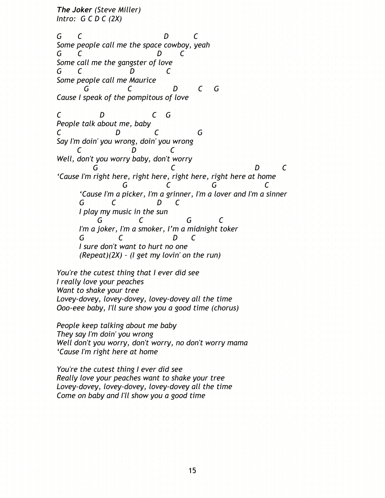*The Joker (Steve Miller) Intro: G C D C (2X)*

*G C D C Some people call me the space cowboy, yeah G C D C Some call me the gangster of love G C D C Some people call me Maurice G*  $G$  *C C D D* **<b>C** is **G** *Cause I speak of the pompitous of love C D C G People talk about me, baby C D C G Say I'm doin' you wrong, doin' you wrong C D C Well, don't you worry baby, don't worry*  $\mathcal{C}$  , and  $\mathcal{C}$  and  $\mathcal{C}$  and  $\mathcal{C}$  and  $\mathcal{C}$  and  $\mathcal{C}$  and  $\mathcal{C}$ *'Cause I'm right here, right here, right here, right here at home*  $G$  , and  $G$  is the contribution of  $G$  and  $G$  and  $G$   $\rightarrow$   $G$  . And  $G$ *'Cause I'm a picker, I'm a grinner, I'm a lover and I'm a sinner G C D C I play my music in the sun G C G C I'm a joker, I'm a smoker, I'm a midnight toker G C D C I sure don't want to hurt no one (Repeat)(2X) – (I get my lovin' on the run)*

*You're the cutest thing that I ever did see I really love your peaches Want to shake your tree Lovey-dovey, lovey-dovey, lovey-dovey all the time Ooo-eee baby, I'll sure show you a good time (chorus)*

*People keep talking about me baby They say I'm doin' you wrong Well don't you worry, don't worry, no don't worry mama 'Cause I'm right here at home*

<span id="page-14-0"></span>*You're the cutest thing I ever did see Really love your peaches want to shake your tree Lovey-dovey, lovey-dovey, lovey-dovey all the time Come on baby and I'll show you a good time*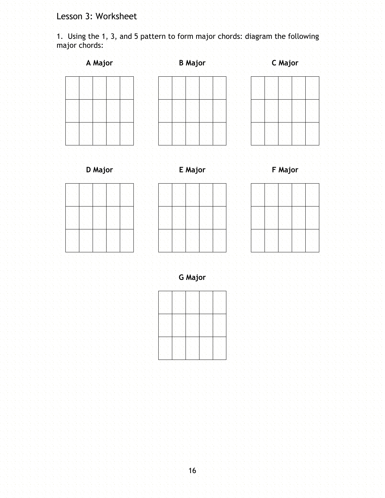1. Using the 1, 3, and 5 pattern to form major chords: diagram the following major chords:







**G Major**

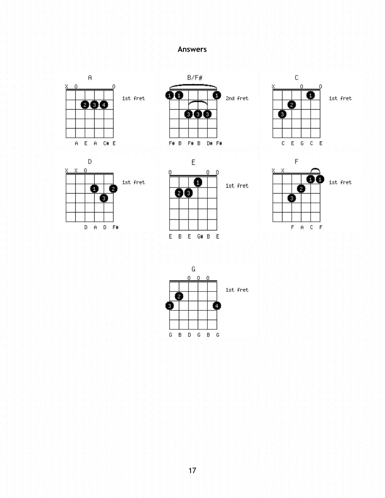#### **Answers**

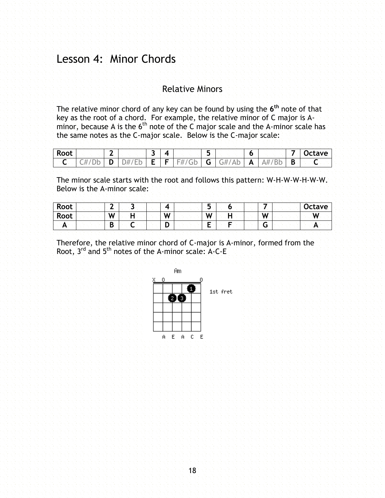## <span id="page-17-1"></span><span id="page-17-0"></span>Lesson 4: Minor Chords

#### Relative Minors

The relative minor chord of any key can be found by using the **6 th** note of that key as the root of a chord. For example, the relative minor of C major is Aminor, because A is the  $6<sup>th</sup>$  note of the C major scale and the A-minor scale has the same notes as the C-major scale. Below is the C-major scale:

| <b>Root</b> |  |           | سد |                             |     |            |   |                  |    | ∙tave |
|-------------|--|-----------|----|-----------------------------|-----|------------|---|------------------|----|-------|
|             |  | Ηh<br>〕立ノ |    | FIFI <i>HII</i><br>$11 - h$ | .G. | (1H)<br>Δľ | A | Бt<br>$\Delta$ H | B. |       |

The minor scale starts with the root and follows this pattern: W-H-W-W-H-W-W. Below is the A-minor scale:

| <b>Root</b> |       |  |   |          |  | - | Octave |
|-------------|-------|--|---|----------|--|---|--------|
| <b>Root</b> | <br>w |  | W | W        |  | W | <br>v  |
|             | п     |  | ν | . .<br>- |  |   |        |

Therefore, the relative minor chord of C-major is A-minor, formed from the Root, 3<sup>rd</sup> and 5<sup>th</sup> notes of the A-minor scale: A-C-E

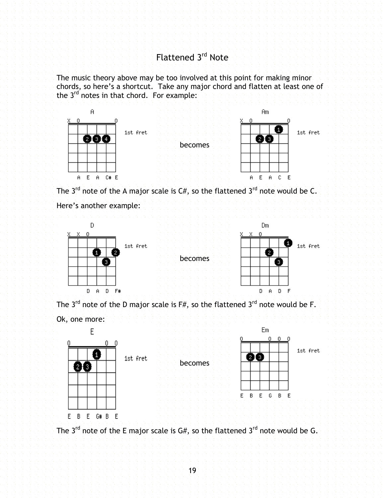## Flattened 3<sup>rd</sup> Note

<span id="page-18-0"></span>The music theory above may be too involved at this point for making minor chords, so here's a shortcut. Take any major chord and flatten at least one of the 3<sup>rd</sup> notes in that chord. For example:



The  $3^{rd}$  note of the A major scale is  $C#$ , so the flattened  $3^{rd}$  note would be C.

Here's another example:



The  $3^{rd}$  note of the D major scale is F#, so the flattened  $3^{rd}$  note would be F. Ok, one more:



The  $3^{rd}$  note of the E major scale is G#, so the flattened  $3^{rd}$  note would be G.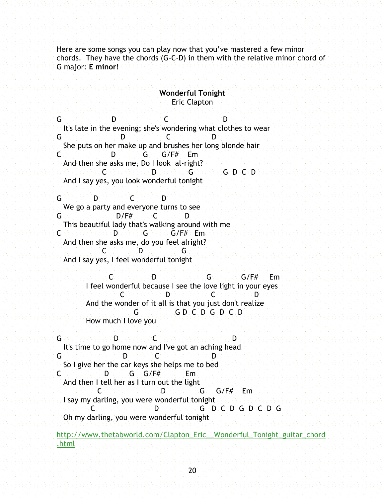Here are some songs you can play now that you've mastered a few minor chords. They have the chords (G-C-D) in them with the relative minor chord of G major: **E minor**!

#### **Wonderful Tonight** Eric Clapton

 $G$  defined by  $D$  defined by  $C$  and  $D$  defined by  $D$  It's late in the evening; she's wondering what clothes to wear GeV, which is a set of  $D$  denotes the  $C$  -contribution  $D$  She puts on her make up and brushes her long blonde hair C D G G/F# Em And then she asks me, Do I look al-right? C D G G D C D And I say yes, you look wonderful tonight

G D C D We go a party and everyone turns to see  $G$  D/F#  $C$  D This beautiful lady that's walking around with me C D G G/F# Em And then she asks me, do you feel alright? C D G And I say yes, I feel wonderful tonight

> C D G G/F# Em I feel wonderful because I see the love light in your eyes . In the contract of  $\mathsf D$  , the contract  $\mathsf C$  of  $\mathsf C$  ,  $\mathsf C$  ,  $\mathsf C$  ,  $\mathsf C$  ,  $\mathsf C$  ,  $\mathsf C$  And the wonder of it all is that you just don't realize G G D C D G D C D How much I love you

 $G$  by a contract  $C$  of  $C$  and  $C$  is a contract of  $C$  It's time to go home now and I've got an aching head  $G$  defined by  $G$  and  $G$  by  $D$  So I give her the car keys she helps me to bed C D G G/F# Em And then I tell her as I turn out the light D G G/F# Em I say my darling, you were wonderful tonight D G D C D G D C D G Oh my darling, you were wonderful tonight

[http://www.thetabworld.com/Clapton\\_Eric\\_\\_Wonderful\\_Tonight\\_guitar\\_chord](http://www.thetabworld.com/Clapton_Eric__Wonderful_Tonight_guitar_chord.html) [.html](http://www.thetabworld.com/Clapton_Eric__Wonderful_Tonight_guitar_chord.html)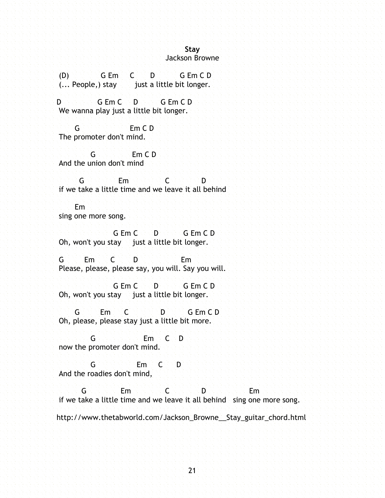#### **Stay** Jackson Browne

(D) G Em C D G Em C D (... People,) stay just a little bit longer.

D G Em C D G Em C D We wanna play just a little bit longer.

 G Em C D The promoter don't mind.

 G Em C D And the union don't mind

 G Em C D if we take a little time and we leave it all behind

 Em sing one more song.

 G Em C D G Em C D Oh, won't you stay just a little bit longer.

G Em C D Em Please, please, please say, you will. Say you will.

 G Em C D G Em C D Oh, won't you stay just a little bit longer.

 G Em C D G Em C D Oh, please, please stay just a little bit more.

 G Em C D now the promoter don't mind.

 G Em C D And the roadies don't mind,

 G Em C D Em if we take a little time and we leave it all behind sing one more song.

http://www.thetabworld.com/Jackson\_Browne\_\_Stay\_guitar\_chord.html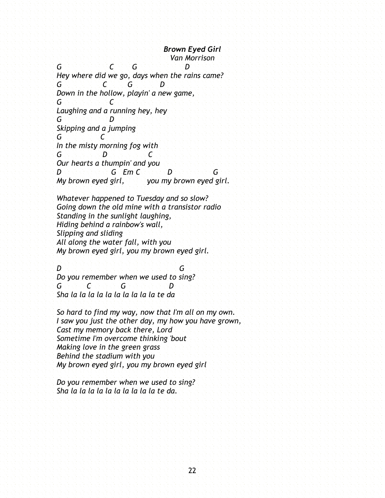#### *Brown Eyed Girl*

*Van Morrison*

*G C G D Hey where did we go, days when the rains came? G C G D Down in the hollow, playin' a new game, G C Laughing and a running hey, hey G D Skipping and a jumping G C In the misty morning fog with G D C Our hearts a thumpin' and you D G Em C D G My brown eyed girl, you my brown eyed girl.*

*Whatever happened to Tuesday and so slow? Going down the old mine with a transistor radio Standing in the sunlight laughing, Hiding behind a rainbow's wall, Slipping and sliding All along the water fall, with you My brown eyed girl, you my brown eyed girl.*

*D G Do you remember when we used to sing? G C G D Sha la la la la la la la la la la te da*

*So hard to find my way, now that I'm all on my own. I saw you just the other day, my how you have grown, Cast my memory back there, Lord Sometime I'm overcome thinking 'bout Making love in the green grass Behind the stadium with you My brown eyed girl, you my brown eyed girl*

*Do you remember when we used to sing? Sha la la la la la la la la la la te da.*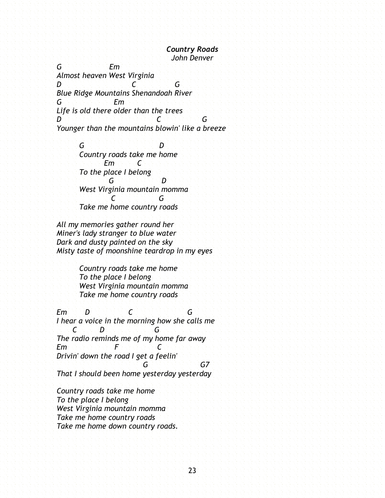*Country Roads John Denver*

*G Em Almost heaven West Virginia D C G Blue Ridge Mountains Shenandoah River G Em Life is old there older than the trees D C G Younger than the mountains blowin' like a breeze*

> *G D Country roads take me home Em C To the place I belong G D West Virginia mountain momma C G Take me home country roads*

*All my memories gather round her Miner's lady stranger to blue water Dark and dusty painted on the sky Misty taste of moonshine teardrop in my eyes*

> *Country roads take me home To the place I belong West Virginia mountain momma Take me home country roads*

*Em D C G I hear a voice in the morning how she calls me C D G The radio reminds me of my home far away Em F C Drivin' down the road I get a feelin' G G7 That I should been home yesterday yesterday*

*Country roads take me home To the place I belong West Virginia mountain momma Take me home country roads Take me home down country roads.*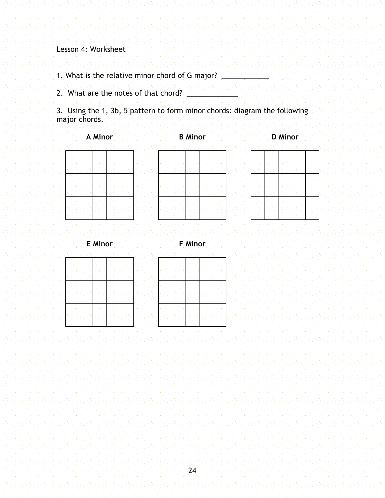<span id="page-23-0"></span>Lesson 4: Worksheet

1. What is the relative minor chord of G major? \_\_\_\_\_\_\_\_\_\_\_\_\_\_\_\_\_\_\_\_\_\_\_\_\_\_\_\_\_\_\_\_

2. What are the notes of that chord?  $\overline{\phantom{a}}$ 

3. Using the 1, 3b, 5 pattern to form minor chords: diagram the following major chords.

**A Minor B Minor D Minor**







**E Minor F Minor**

| ź |  | ź |  |
|---|--|---|--|
|   |  |   |  |
|   |  |   |  |
|   |  |   |  |
|   |  |   |  |
|   |  |   |  |
|   |  |   |  |
|   |  |   |  |
|   |  |   |  |
|   |  |   |  |

| ç<br>ç<br>s<br>z<br>ź<br>ź<br>z<br>ç<br>٠ |  |  |  |  |  |
|-------------------------------------------|--|--|--|--|--|
|                                           |  |  |  |  |  |
|                                           |  |  |  |  |  |
|                                           |  |  |  |  |  |
|                                           |  |  |  |  |  |
|                                           |  |  |  |  |  |
|                                           |  |  |  |  |  |
|                                           |  |  |  |  |  |
|                                           |  |  |  |  |  |
|                                           |  |  |  |  |  |
|                                           |  |  |  |  |  |
|                                           |  |  |  |  |  |
|                                           |  |  |  |  |  |
|                                           |  |  |  |  |  |
|                                           |  |  |  |  |  |
|                                           |  |  |  |  |  |
|                                           |  |  |  |  |  |
|                                           |  |  |  |  |  |
|                                           |  |  |  |  |  |
|                                           |  |  |  |  |  |
|                                           |  |  |  |  |  |
|                                           |  |  |  |  |  |
|                                           |  |  |  |  |  |
|                                           |  |  |  |  |  |
|                                           |  |  |  |  |  |
|                                           |  |  |  |  |  |
|                                           |  |  |  |  |  |
|                                           |  |  |  |  |  |
|                                           |  |  |  |  |  |
|                                           |  |  |  |  |  |
|                                           |  |  |  |  |  |
|                                           |  |  |  |  |  |
|                                           |  |  |  |  |  |
|                                           |  |  |  |  |  |
|                                           |  |  |  |  |  |
|                                           |  |  |  |  |  |
|                                           |  |  |  |  |  |
|                                           |  |  |  |  |  |
|                                           |  |  |  |  |  |
|                                           |  |  |  |  |  |
|                                           |  |  |  |  |  |
|                                           |  |  |  |  |  |
|                                           |  |  |  |  |  |
|                                           |  |  |  |  |  |
|                                           |  |  |  |  |  |
|                                           |  |  |  |  |  |
|                                           |  |  |  |  |  |
|                                           |  |  |  |  |  |
|                                           |  |  |  |  |  |
|                                           |  |  |  |  |  |
|                                           |  |  |  |  |  |
|                                           |  |  |  |  |  |
|                                           |  |  |  |  |  |
|                                           |  |  |  |  |  |
|                                           |  |  |  |  |  |
|                                           |  |  |  |  |  |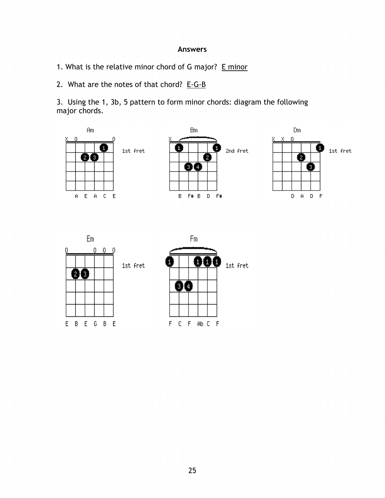#### **Answers**

1. What is the relative minor chord of G major?  $E$  minor

2. What are the notes of that chord?  $E-G-B$ 

3. Using the 1, 3b, 5 pattern to form minor chords: diagram the following major chords.

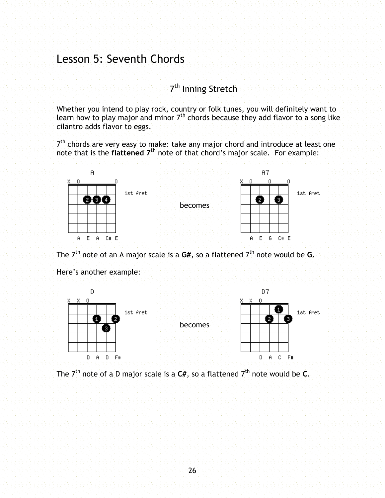## <span id="page-25-1"></span><span id="page-25-0"></span>Lesson 5: Seventh Chords

#### 7<sup>th</sup> Inning Stretch

Whether you intend to play rock, country or folk tunes, you will definitely want to learn how to play major and minor  $7<sup>th</sup>$  chords because they add flavor to a song like cilantro adds flavor to eggs.

7<sup>th</sup> chords are very easy to make: take any major chord and introduce at least one note that is the **flattened 7 th** note of that chord's major scale. For example:



The 7th note of an A major scale is a **G#**, so a flattened 7th note would be **G**.

Here's another example:



The 7<sup>th</sup> note of a D major scale is a C#, so a flattened 7<sup>th</sup> note would be C.

26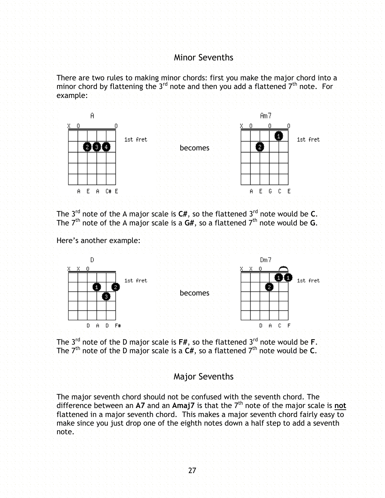#### Minor Sevenths

<span id="page-26-0"></span>There are two rules to making minor chords: first you make the major chord into a minor chord by flattening the  $3^{rd}$  note and then you add a flattened  $7^{th}$  note. For example:



The 3rd note of the A major scale is **C#**, so the flattened 3rd note would be **C**. The 7th note of the A major scale is a **G#**, so a flattened 7th note would be **G**.

Here's another example:



<span id="page-26-1"></span>

#### Major Sevenths

The major seventh chord should not be confused with the seventh chord. The difference between an **A7** and an **Amaj7** is that the 7th note of the major scale is **not** flattened in a major seventh chord. This makes a major seventh chord fairly easy to make since you just drop one of the eighth notes down a half step to add a seventh note.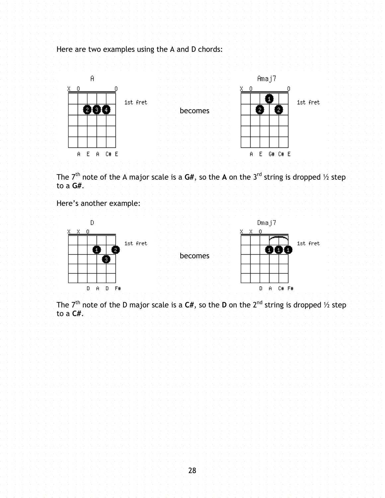Here are two examples using the A and D chords:



The 7<sup>th</sup> note of the A major scale is a  $G#$ , so the A on the 3<sup>rd</sup> string is dropped 1/2 step to a **G#**.

Here's another example:



The  $7<sup>th</sup>$  note of the D major scale is a  $C#$ , so the D on the  $2<sup>nd</sup>$  string is dropped  $\frac{1}{2}$  step to a **C#**.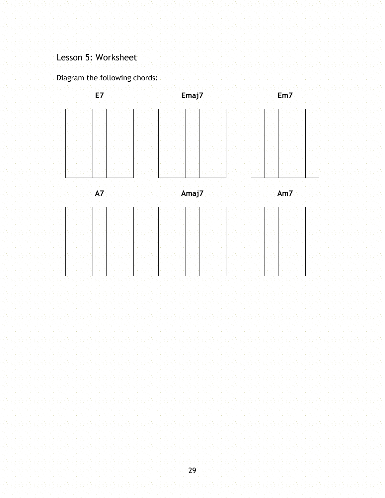## <span id="page-28-0"></span>Lesson 5: Worksheet

## Diagram the following chords:











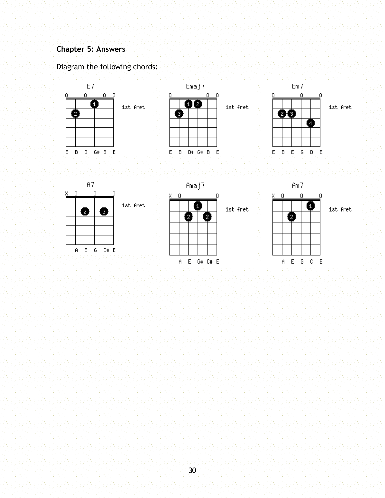## **Chapter 5: Answers**

## Diagram the following chords:

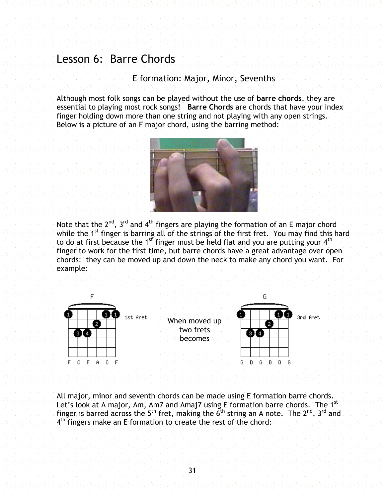## <span id="page-30-1"></span><span id="page-30-0"></span>Lesson 6: Barre Chords

#### E formation: Major, Minor, Sevenths

Although most folk songs can be played without the use of **barre chords**, they are essential to playing most rock songs! **Barre Chords** are chords that have your index finger holding down more than one string and not playing with any open strings. Below is a picture of an F major chord, using the barring method:



Note that the  $2^{nd}$ ,  $3^{rd}$  and  $4^{th}$  fingers are playing the formation of an E major chord while the 1<sup>st</sup> finger is barring all of the strings of the first fret. You may find this hard to do at first because the 1<sup>st</sup> finger must be held flat and you are putting your  $4<sup>th</sup>$ finger to work for the first time, but barre chords have a great advantage over open chords: they can be moved up and down the neck to make any chord you want. For example:



All major, minor and seventh chords can be made using E formation barre chords. Let's look at A major, Am, Am7 and Amaj7 using E formation barre chords. The  $1^{st}$ finger is barred across the 5<sup>th</sup> fret, making the 6<sup>th</sup> string an A note. The 2<sup>nd</sup>, 3<sup>rd</sup> and 4<sup>th</sup> fingers make an E formation to create the rest of the chord: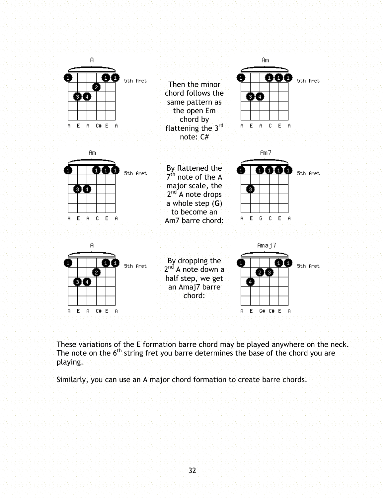

These variations of the E formation barre chord may be played anywhere on the neck. The note on the 6<sup>th</sup> string fret you barre determines the base of the chord you are playing.

Similarly, you can use an A major chord formation to create barre chords.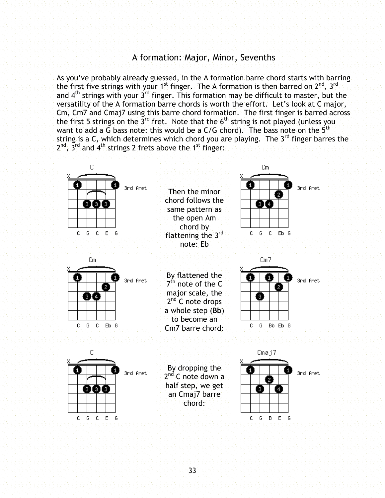#### A formation: Major, Minor, Sevenths

<span id="page-32-0"></span>As you've probably already guessed, in the A formation barre chord starts with barring the first five strings with your 1<sup>st</sup> finger. The A formation is then barred on  $2^{nd}$ ,  $3^{rd}$ and  $4<sup>th</sup>$  strings with your  $3<sup>rd</sup>$  finger. This formation may be difficult to master, but the versatility of the A formation barre chords is worth the effort. Let's look at C major, Cm, Cm7 and Cmaj7 using this barre chord formation. The first finger is barred across the first 5 strings on the  $3^{rd}$  fret. Note that the  $6^{th}$  string is not played (unless you want to add a G bass note: this would be a C/G chord). The bass note on the 5<sup>th</sup> string is a C, which determines which chord you are playing. The  $3<sup>rd</sup>$  finger barres the  $2^{nd}$ ,  $3^{rd}$  and  $4^{th}$  strings 2 frets above the 1<sup>st</sup> finger:

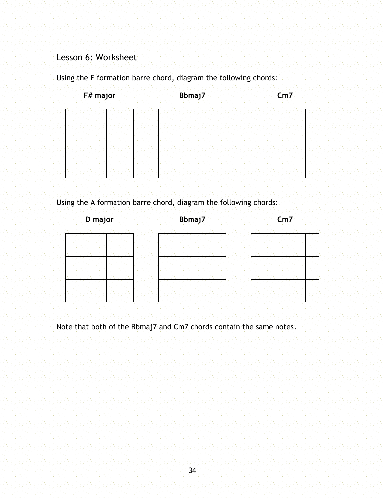## <span id="page-33-0"></span>Lesson 6: Worksheet



Using the E formation barre chord, diagram the following chords:

Using the A formation barre chord, diagram the following chords:





| ï |  |  |
|---|--|--|
|   |  |  |
|   |  |  |
|   |  |  |



Note that both of the Bbmaj7 and Cm7 chords contain the same notes.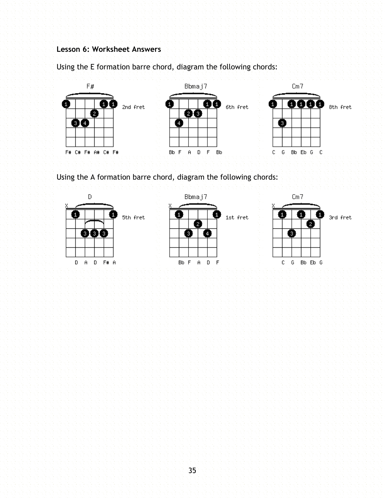#### **Lesson 6: Worksheet Answers**

Using the E formation barre chord, diagram the following chords:



Using the A formation barre chord, diagram the following chords:



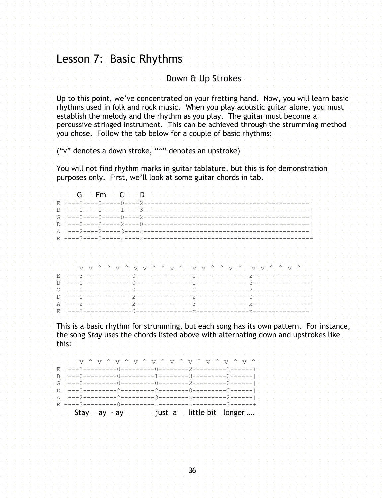## <span id="page-35-1"></span><span id="page-35-0"></span>Lesson 7: Basic Rhythms

#### Down & Up Strokes

Up to this point, we've concentrated on your fretting hand. Now, you will learn basic rhythms used in folk and rock music. When you play acoustic guitar alone, you must establish the melody and the rhythm as you play. The guitar must become a percussive stringed instrument. This can be achieved through the strumming method you chose. Follow the tab below for a couple of basic rhythms:

("v" denotes a down stroke, "^" denotes an upstroke)

You will not find rhythm marks in guitar tablature, but this is for demonstration purposes only. First, we'll look at some guitar chords in tab.

| GEMCD |  |  |  |  |  |  |  |  |  |  |  |  |
|-------|--|--|--|--|--|--|--|--|--|--|--|--|
|       |  |  |  |  |  |  |  |  |  |  |  |  |
|       |  |  |  |  |  |  |  |  |  |  |  |  |
|       |  |  |  |  |  |  |  |  |  |  |  |  |
|       |  |  |  |  |  |  |  |  |  |  |  |  |
|       |  |  |  |  |  |  |  |  |  |  |  |  |
|       |  |  |  |  |  |  |  |  |  |  |  |  |

This is a basic rhythm for strumming, but each song has its own pattern. For instance, the song *Stay* uses the chords listed above with alternating down and upstrokes like this:

 $V$   $\sim$   $N$   $\sim$   $N$   $\sim$   $N$   $\sim$   $N$   $\sim$   $N$   $\sim$   $N$   $\sim$   $N$   $\sim$   $N$   $\sim$ E +---3---------0---------0--------2---------3------+ B |---0---------0---------1--------3---------0------| G |---0---------0---------0--------2---------0------| D |---0---------2---------2--------0---------0------| A |---2---------2---------3--------x---------2------| E +---3---------0---------x--------x---------3------+ Stay - ay - ay just a little bit longer ....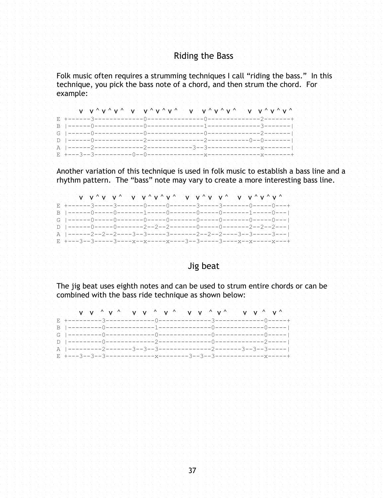#### Riding the Bass

<span id="page-36-0"></span>Folk music often requires a strumming techniques I call "riding the bass." In this technique, you pick the bass note of a chord, and then strum the chord. For example:

 v v ^ v ^ v ^ v v ^ v ^ v ^ v v ^ v ^ v ^ v v ^ v ^ v ^ E +------3-------------0---------------0--------------2-------+ B |------0-------------0---------------1--------------3-------| G |------0-------------0---------------0--------------2-------| D |------0-------------2---------------2-----------0--0-------| A |------2-------------2------------3--3--------------x-------| E +---3--3----------0--0---------------x--------------x-------+

Another variation of this technique is used in folk music to establish a bass line and a rhythm pattern. The "bass" note may vary to create a more interesting bass line.

|  |  |  |  |  |  |  |  |  |  |  | $\mathsf{V} \cdot \mathsf{V} \wedge \mathsf{V} \cdot \mathsf{V} \wedge \mathsf{V} \cdot \mathsf{V} \cdot \mathsf{V} \wedge \mathsf{V} \cdot \mathsf{V} \cdot \mathsf{V} \cdot \mathsf{V} \cdot \mathsf{V} \cdot \mathsf{V} \cdot \mathsf{V} \cdot \mathsf{V} \cdot \mathsf{V} \cdot \mathsf{V} \cdot \mathsf{V} \cdot \mathsf{V} \cdot \mathsf{V} \cdot \mathsf{V} \cdot \mathsf{V} \cdot \mathsf{V} \cdot \mathsf{V} \cdot \mathsf{V} \cdot \mathsf{V} \cdot \mathsf{V} \cdot \$ |  |                                                                                  |
|--|--|--|--|--|--|--|--|--|--|--|-----------------------------------------------------------------------------------------------------------------------------------------------------------------------------------------------------------------------------------------------------------------------------------------------------------------------------------------------------------------------------------------------------------------------------------------------------------------------------------|--|----------------------------------------------------------------------------------|
|  |  |  |  |  |  |  |  |  |  |  |                                                                                                                                                                                                                                                                                                                                                                                                                                                                                   |  |                                                                                  |
|  |  |  |  |  |  |  |  |  |  |  |                                                                                                                                                                                                                                                                                                                                                                                                                                                                                   |  |                                                                                  |
|  |  |  |  |  |  |  |  |  |  |  |                                                                                                                                                                                                                                                                                                                                                                                                                                                                                   |  |                                                                                  |
|  |  |  |  |  |  |  |  |  |  |  |                                                                                                                                                                                                                                                                                                                                                                                                                                                                                   |  | $D \cdot  ---- -0--- -0--- ---- -2--2--- ---- -0--- -0--- ---- -2---2---2--- -1$ |
|  |  |  |  |  |  |  |  |  |  |  |                                                                                                                                                                                                                                                                                                                                                                                                                                                                                   |  |                                                                                  |
|  |  |  |  |  |  |  |  |  |  |  |                                                                                                                                                                                                                                                                                                                                                                                                                                                                                   |  |                                                                                  |

#### Jig beat

<span id="page-36-1"></span>The jig beat uses eighth notes and can be used to strum entire chords or can be combined with the bass ride technique as shown below:

|  |  | $\mathbf{V}$ , $\mathbf{V}$ , $\mathbf{V}$ , $\mathbf{V}$ , $\mathbf{V}$ , $\mathbf{V}$ , $\mathbf{V}$ , $\mathbf{V}$ , $\mathbf{V}$ , $\mathbf{V}$ , $\mathbf{V}$ , $\mathbf{V}$ , $\mathbf{V}$ , $\mathbf{V}$ , $\mathbf{V}$ , $\mathbf{V}$ , $\mathbf{V}$ , $\mathbf{V}$ , $\mathbf{V}$ , $\mathbf{V}$ , |  |
|--|--|-------------------------------------------------------------------------------------------------------------------------------------------------------------------------------------------------------------------------------------------------------------------------------------------------------------|--|
|  |  |                                                                                                                                                                                                                                                                                                             |  |
|  |  |                                                                                                                                                                                                                                                                                                             |  |
|  |  |                                                                                                                                                                                                                                                                                                             |  |
|  |  |                                                                                                                                                                                                                                                                                                             |  |
|  |  |                                                                                                                                                                                                                                                                                                             |  |
|  |  |                                                                                                                                                                                                                                                                                                             |  |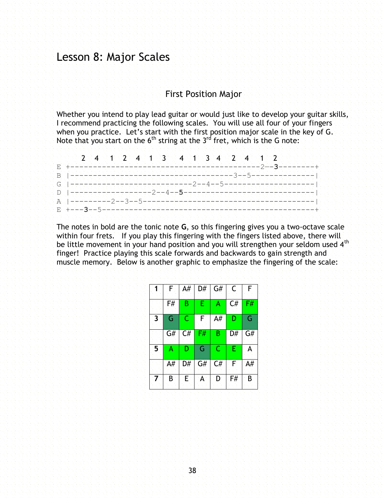## <span id="page-37-0"></span>Lesson 8: Major Scales

#### First Position Major

<span id="page-37-1"></span>Whether you intend to play lead guitar or would just like to develop your guitar skills, I recommend practicing the following scales. You will use all four of your fingers when you practice. Let's start with the first position major scale in the key of G. Note that you start on the 6<sup>th</sup> string at the 3<sup>rd</sup> fret, which is the G note:

|  |  | 2 4 1 2 4 1 3 4 1 3 4 2 4 1 2 |                                |  |  |  |  |  |  |  |  |  |  |
|--|--|-------------------------------|--------------------------------|--|--|--|--|--|--|--|--|--|--|
|  |  |                               | 122222222222222222222222222220 |  |  |  |  |  |  |  |  |  |  |
|  |  |                               |                                |  |  |  |  |  |  |  |  |  |  |
|  |  |                               |                                |  |  |  |  |  |  |  |  |  |  |
|  |  |                               |                                |  |  |  |  |  |  |  |  |  |  |
|  |  |                               |                                |  |  |  |  |  |  |  |  |  |  |
|  |  |                               |                                |  |  |  |  |  |  |  |  |  |  |

The notes in bold are the tonic note **G**, so this fingering gives you a two-octave scale within four frets. If you play this fingering with the fingers listed above, there will be little movement in your hand position and you will strengthen your seldom used 4<sup>th</sup> finger! Practice playing this scale forwards and backwards to gain strength and muscle memory. Below is another graphic to emphasize the fingering of the scale:

| 1                       | F  | A# | D# | G# | C  | F. |
|-------------------------|----|----|----|----|----|----|
|                         | F# | В  | E  | A  | C# | F# |
| $\overline{\mathbf{3}}$ | G  | С  | F. | A# | D  | G  |
|                         | G# | C# | F# | B  | D# | G# |
| 5                       | A  | D  | G  | C  | E  | A  |
|                         | A# | D# | G# | C# | F  | A# |
| 7                       | B  | E  | Α  | D  | F# | B  |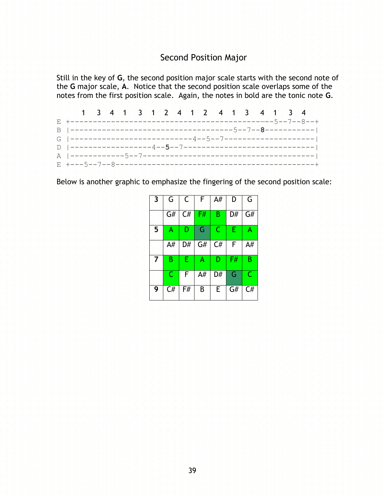## Second Position Major

<span id="page-38-0"></span>Still in the key of **G**, the second position major scale starts with the second note of the **G** major scale, **A**. Notice that the second position scale overlaps some of the notes from the first position scale. Again, the notes in bold are the tonic note **G**.

|  | 1 3 4 1 3 1 2 4 1 2 4 1 3 4 1 3 4 |  |  |  |  |  |  |  |  |  |  |  |  |  |  |
|--|-----------------------------------|--|--|--|--|--|--|--|--|--|--|--|--|--|--|
|  |                                   |  |  |  |  |  |  |  |  |  |  |  |  |  |  |
|  |                                   |  |  |  |  |  |  |  |  |  |  |  |  |  |  |
|  |                                   |  |  |  |  |  |  |  |  |  |  |  |  |  |  |
|  |                                   |  |  |  |  |  |  |  |  |  |  |  |  |  |  |
|  |                                   |  |  |  |  |  |  |  |  |  |  |  |  |  |  |
|  |                                   |  |  |  |  |  |  |  |  |  |  |  |  |  |  |

Below is another graphic to emphasize the fingering of the second position scale:

| $\overline{\mathbf{3}}$ | Ġ  | Ć  | Ė  | A# | D  | G  |
|-------------------------|----|----|----|----|----|----|
|                         | G# | C# | F# | B  | D# | G# |
| 5                       | А  | D  | G  | c  | E  | A  |
|                         | A# | D# | G# | C# | F  | A# |
| 7                       | B  | E  | A  | D  | F# | B  |
|                         | C  | F  | A# | D# | G  | С  |
| 9                       | C# | F# | В  | E  | G# | C# |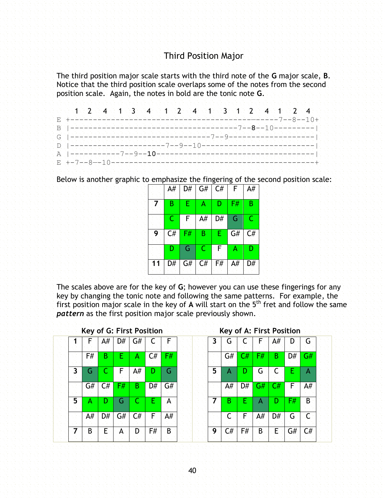#### Third Position Major

<span id="page-39-0"></span>The third position major scale starts with the third note of the **G** major scale, **B**. Notice that the third position scale overlaps some of the notes from the second position scale. Again, the notes in bold are the tonic note **G**.

|  | 1 2 4 1 3 4 1 2 4 1 3 1 2 4 1 2 4                                                            |  |  |                                                   |  |  |  |  |  |
|--|----------------------------------------------------------------------------------------------|--|--|---------------------------------------------------|--|--|--|--|--|
|  | E 1949 - A 1949 A 1949 A 1949 A 1949 A 1949 A 1949 A 1949 A 1949 A 1949 A 1949 A 1949 A 1941 |  |  |                                                   |  |  |  |  |  |
|  |                                                                                              |  |  |                                                   |  |  |  |  |  |
|  |                                                                                              |  |  |                                                   |  |  |  |  |  |
|  |                                                                                              |  |  |                                                   |  |  |  |  |  |
|  |                                                                                              |  |  |                                                   |  |  |  |  |  |
|  |                                                                                              |  |  | فالنافذ فاقتلا فالنافذ فالمامية فالمتحدث والمامية |  |  |  |  |  |

Below is another graphic to emphasize the fingering of the second position scale:

|    | A# |    |    | D#   G#   C#      | OF. | A# |
|----|----|----|----|-------------------|-----|----|
| 7  | B  | E  | A  | D                 | F#  | B  |
|    | Ċ. | FN | A# | D#                | G   | C  |
| 9  | C# | F# | B. | E.                | G#  | C# |
|    | D  | G  | C  | F                 | А   | D  |
| 11 |    |    |    | D#   G#   C#   F# | A#  | D# |

The scales above are for the key of **G**; however you can use these fingerings for any key by changing the tonic note and following the same patterns. For example, the first position major scale in the key of **A** will start on the 5th fret and follow the same *pattern* as the first position major scale previously shown.





| $\overline{\mathbf{3}}$ | Ġ  | Ċ  | F  | A#             | D  | G, |  |
|-------------------------|----|----|----|----------------|----|----|--|
|                         | G# | C# | F# | B              | D# | G# |  |
| 5                       | A  | D  | G  | С              | E  | A  |  |
|                         | A# | D# | G# | $\mathsf{C}\#$ | F  | A# |  |
| 7                       | B  | E  | A  | D              | F# | B  |  |
|                         | C  | F  | A# | D#             | G  | C  |  |
| 9                       | C# | F# | В  | E              | G# | C# |  |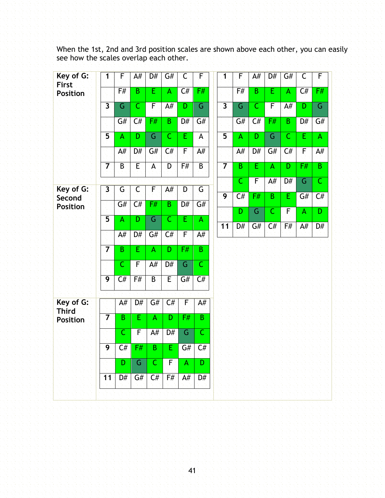When the 1st, 2nd and 3rd position scales are shown above each other, you can easily see how the scales overlap each other.

| Key of G:<br>First                           | 1                       | F                       | A#                        | D#                      | G#                      | C                       | F                       | 1                       | F                       | A#                        | D#                      | G#                      | C                         | $\mathsf{F}$            |
|----------------------------------------------|-------------------------|-------------------------|---------------------------|-------------------------|-------------------------|-------------------------|-------------------------|-------------------------|-------------------------|---------------------------|-------------------------|-------------------------|---------------------------|-------------------------|
| <b>Position</b>                              |                         | F#                      | B                         | Ε                       | A                       | $\overline{C}$          | $\overline{F#}$         |                         | $\overline{F#}$         | B                         | E                       | A                       | $\overline{C}$            | $\overline{F#}$         |
|                                              | $\overline{\mathbf{3}}$ | G                       | $\overline{\mathsf{C}}$   | F                       | A#                      | D                       | $\overline{\mathsf{G}}$ | $\overline{\mathbf{3}}$ | $\overline{\mathsf{G}}$ | $\overline{\mathsf{C}}$   | F                       | A#                      | D                         | $\overline{\mathsf{G}}$ |
|                                              |                         | $\overline{GH}$         | $\overline{C}$            | F#                      | B                       | D#                      | $\overline{GH}$         |                         | G#                      | $\overline{C}$ #          | $\overline{F#}$         | B                       | D#                        | $\overline{GH}$         |
|                                              | $\overline{\mathbf{5}}$ | A                       | D                         | $\overline{\mathsf{G}}$ | $\overline{\mathsf{C}}$ | Έ                       | A                       | $\overline{5}$          | A                       | $\overline{\mathsf{D}}$   | $\overline{\mathsf{G}}$ | $\overline{\mathsf{C}}$ | Ε                         | A                       |
|                                              |                         | $\overline{AH}$         | $\overline{DH}$           | G#                      | $\overline{CH}$         | Ė                       | $\overline{AH}$         |                         | $\overline{A}$          | $\overline{DH}$           | $\overline{GH}$         | $\overline{C}$          | F                         | A#                      |
|                                              |                         | $\overline{B}$          | Ē                         | A                       | D                       | F#                      | $\overline{B}$          | 7                       | $\overline{B}$          | E                         | A                       | D                       | $\overline{\mathsf{F}\#}$ | $\overline{B}$          |
|                                              |                         |                         |                           |                         |                         |                         |                         |                         | $\overline{\mathsf{C}}$ | F                         | $\overline{A}$          | $\overline{DH}$         | $\overline{\mathsf{G}}$   | $\overline{\mathsf{C}}$ |
| Key of G:<br>Second                          | $\overline{\mathbf{3}}$ | Ġ                       | $\overline{\mathsf{C}}$   | F                       | $\overline{AH}$         | D                       | G                       | 9                       | $\overline{C}$          | $\overline{\mathsf{F}\#}$ | B                       | E                       | $\overline{GH}$           | $\overline{C}$ #        |
| <b>Position</b>                              |                         | G#                      | $\overline{C}$            | F#                      | B.                      | D#                      | $\overline{GH}$         |                         | D                       | $\overline{\mathsf{G}}$   | $\overline{\mathsf{C}}$ | F                       | A                         | D                       |
|                                              | $\overline{\mathbf{5}}$ | A                       | $\overline{\mathsf{D}}$   | $\overline{\mathsf{G}}$ | $\overline{\mathsf{C}}$ | $\overline{E}$          | $\overline{\mathsf{A}}$ | 11                      | $\overline{DH}$         | $\overline{GH}$           | $\overline{C}$          | $\overline{F#}$         | $\overline{AH}$           | $\overline{DH}$         |
|                                              |                         | $\overline{AH}$         | $\overline{DH}$           | $\overline{GH}$         | $\overline{C}$          | $\overline{F}$          | $\overline{AH}$         |                         |                         |                           |                         |                         |                           |                         |
|                                              | $\overline{7}$          | $\overline{B}$          | E                         | A                       | D                       | F#                      | $\overline{B}$          |                         |                         |                           |                         |                         |                           |                         |
|                                              |                         |                         |                           |                         |                         |                         |                         |                         |                         |                           |                         |                         |                           |                         |
|                                              |                         | $\overline{\mathsf{C}}$ | Ē                         | $\overline{AH}$         | $\overline{DH}$         | $\overline{\mathsf{G}}$ | $\overline{\mathsf{C}}$ |                         |                         |                           |                         |                         |                           |                         |
|                                              | $\overline{9}$          | $\overline{C}$          | F#                        | $\overline{B}$          | $\overline{\mathsf{E}}$ | G#                      | $\overline{C}$          |                         |                         |                           |                         |                         |                           |                         |
|                                              |                         | $\overline{AH}$         | $\overline{DH}$           | $\overline{G}$          | $\overline{C}$          | $\overline{F}$          | A#                      |                         |                         |                           |                         |                         |                           |                         |
|                                              | $\overline{7}$          | $\overline{B}$          | Ē                         | A                       | $\overline{\mathsf{D}}$ | $\overline{F#}$         | $\overline{B}$          |                         |                         |                           |                         |                         |                           |                         |
|                                              |                         | $\overline{\mathsf{C}}$ | $\overline{\mathsf{F}}$   | $\overline{AH}$         | $\overline{DH}$         | $\overline{\mathsf{G}}$ | $\overline{\mathsf{C}}$ |                         |                         |                           |                         |                         |                           |                         |
|                                              | $\overline{9}$          | $\overline{C}$          | $\overline{\mathsf{F}\#}$ | B.                      | E                       | $\overline{GH}$         | $\overline{C}$ #        |                         |                         |                           |                         |                         |                           |                         |
| Key of G:<br><b>Third</b><br><b>Position</b> |                         | D                       | $\overline{\mathsf{G}}$   | $\overline{\mathsf{C}}$ | Ŧ                       | A                       | D                       |                         |                         |                           |                         |                         |                           |                         |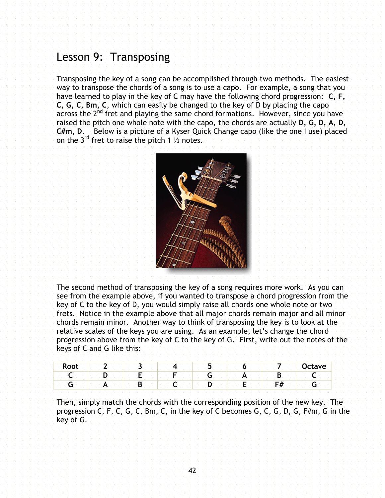## <span id="page-41-0"></span>Lesson 9: Transposing

Transposing the key of a song can be accomplished through two methods. The easiest way to transpose the chords of a song is to use a capo. For example, a song that you have learned to play in the key of C may have the following chord progression: **C, F, C, G, C, Bm, C**, which can easily be changed to the key of D by placing the capo across the  $2<sup>nd</sup>$  fret and playing the same chord formations. However, since you have raised the pitch one whole note with the capo, the chords are actually **D, G, D, A, D, C#m, D**. Below is a picture of a Kyser Quick Change capo (like the one I use) placed on the 3<sup>rd</sup> fret to raise the pitch 1  $\frac{1}{2}$  notes.



The second method of transposing the key of a song requires more work. As you can see from the example above, if you wanted to transpose a chord progression from the key of C to the key of D, you would simply raise all chords one whole note or two frets. Notice in the example above that all major chords remain major and all minor chords remain minor. Another way to think of transposing the key is to look at the relative scales of the keys you are using. As an example, let's change the chord progression above from the key of C to the key of G. First, write out the notes of the keys of C and G like this:

| ≕Roc | <b>CONTRACTOR</b>              |  | <b>AVE</b> |
|------|--------------------------------|--|------------|
|      |                                |  |            |
|      | and the company of the company |  |            |

Then, simply match the chords with the corresponding position of the new key. The progression C, F, C, G, C, Bm, C, in the key of C becomes G, C, G, D, G, F#m, G in the key of G.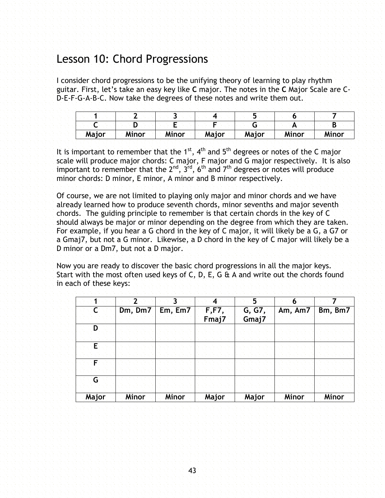## <span id="page-42-0"></span>Lesson 10: Chord Progressions

I consider chord progressions to be the unifying theory of learning to play rhythm guitar. First, let's take an easy key like **C** major. The notes in the **C** Major Scale are C-D-E-F-G-A-B-C. Now take the degrees of these notes and write them out.

| Major | Minor | Minor | Major | Major | Minor | Minor |
|-------|-------|-------|-------|-------|-------|-------|

It is important to remember that the  $1<sup>st</sup>$ ,  $4<sup>th</sup>$  and  $5<sup>th</sup>$  degrees or notes of the C major scale will produce major chords: C major, F major and G major respectively. It is also important to remember that the  $2^{nd}$ ,  $3^{rd}$ ,  $6^{th}$  and  $7^{th}$  degrees or notes will produce minor chords: D minor, E minor, A minor and B minor respectively.

Of course, we are not limited to playing only major and minor chords and we have already learned how to produce seventh chords, minor sevenths and major seventh chords. The guiding principle to remember is that certain chords in the key of C should always be major or minor depending on the degree from which they are taken. For example, if you hear a G chord in the key of C major, it will likely be a G, a G7 or a Gmaj7, but not a G minor. Likewise, a D chord in the key of C major will likely be a D minor or a Dm7, but not a D major.

Now you are ready to discover the basic chord progressions in all the major keys. Start with the most often used keys of  $C$ ,  $D$ ,  $E$ ,  $G$   $\&$  A and write out the chords found in each of these keys:

|          | າ            |         |                | 5               | Ð                 |       |
|----------|--------------|---------|----------------|-----------------|-------------------|-------|
| <b>C</b> | Dm, Dm7      | Em, Em7 | F,F7,<br>Fmaj7 | G, G7,<br>Gmaj7 | Am, $Am7$ Bm, Bm7 |       |
| Ð        |              |         |                |                 |                   |       |
| F        |              |         |                |                 |                   |       |
| F        |              |         |                |                 |                   |       |
| G.       |              |         |                |                 |                   |       |
| Major    | <b>Minor</b> | Minor   | Major          | Major           | <b>Minor</b>      | Minor |